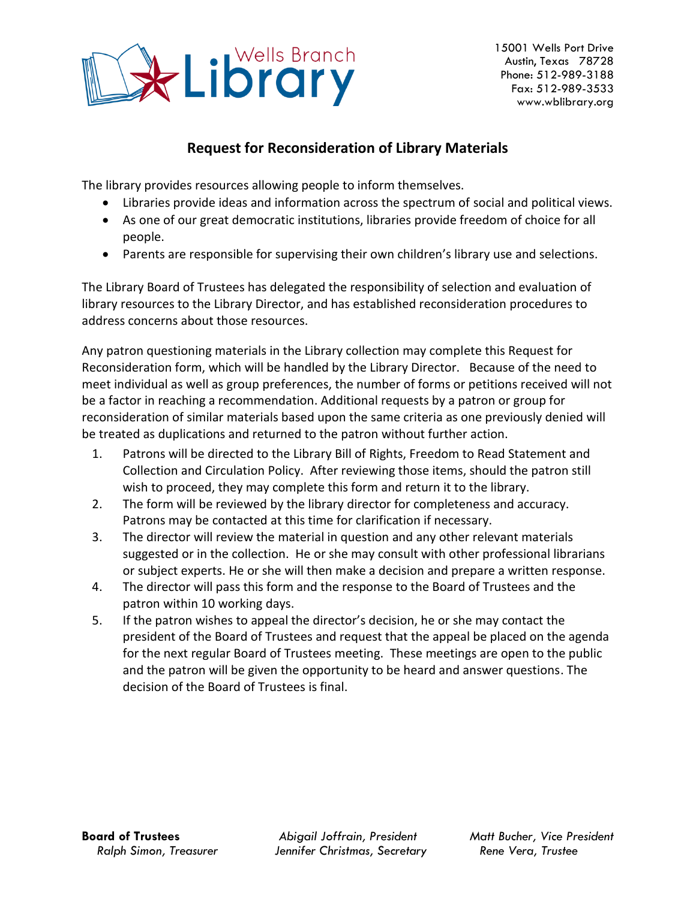

## **Request for Reconsideration of Library Materials**

The library provides resources allowing people to inform themselves.

- Libraries provide ideas and information across the spectrum of social and political views.
- As one of our great democratic institutions, libraries provide freedom of choice for all people.
- Parents are responsible for supervising their own children's library use and selections.

The Library Board of Trustees has delegated the responsibility of selection and evaluation of library resources to the Library Director, and has established reconsideration procedures to address concerns about those resources.

Any patron questioning materials in the Library collection may complete this Request for Reconsideration form, which will be handled by the Library Director. Because of the need to meet individual as well as group preferences, the number of forms or petitions received will not be a factor in reaching a recommendation. Additional requests by a patron or group for reconsideration of similar materials based upon the same criteria as one previously denied will be treated as duplications and returned to the patron without further action.

- 1. Patrons will be directed to the Library Bill of Rights, Freedom to Read Statement and Collection and Circulation Policy. After reviewing those items, should the patron still wish to proceed, they may complete this form and return it to the library.
- 2. The form will be reviewed by the library director for completeness and accuracy. Patrons may be contacted at this time for clarification if necessary.
- 3. The director will review the material in question and any other relevant materials suggested or in the collection. He or she may consult with other professional librarians or subject experts. He or she will then make a decision and prepare a written response.
- 4. The director will pass this form and the response to the Board of Trustees and the patron within 10 working days.
- 5. If the patron wishes to appeal the director's decision, he or she may contact the president of the Board of Trustees and request that the appeal be placed on the agenda for the next regular Board of Trustees meeting. These meetings are open to the public and the patron will be given the opportunity to be heard and answer questions. The decision of the Board of Trustees is final.

**Board of Trustees** *Abigail Joffrain, President Matt Bucher, Vice President Ralph Simon, Treasurer Jennifer Christmas, Secretary Rene Vera, Trustee*